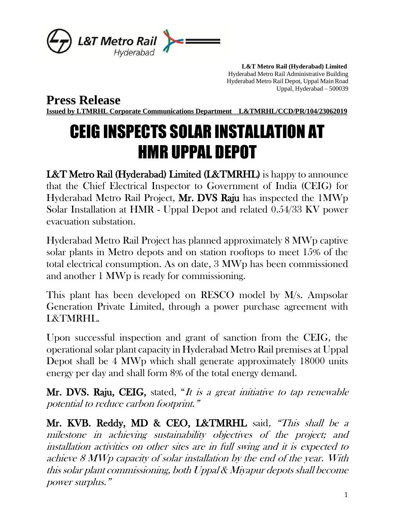

 **L&T Metro Rail (Hyderabad) Limited** Hyderabad Metro Rail Administrative Building Hyderabad Metro Rail Depot, Uppal Main Road Uppal, Hyderabad – 500039

**Press Release**

**Issued by LTMRHL Corporate Communications Department L&TMRHL/CCD/PR/104/23062019**

## CEIG INSPECTS SOLAR INSTALLATION AT HMR UPPAL DEPOT

L&T Metro Rail (Hyderabad) Limited (L&TMRHL) is happy to announce that the Chief Electrical Inspector to Government of India (CEIG) for Hyderabad Metro Rail Project, Mr. DVS Raju has inspected the 1MWp Solar Installation at HMR - Uppal Depot and related 0.54/33 KV power evacuation substation.

Hyderabad Metro Rail Project has planned approximately 8 MWp captive solar plants in Metro depots and on station rooftops to meet 15% of the total electrical consumption. As on date, 3 MWp has been commissioned and another 1 MWp is ready for commissioning.

This plant has been developed on RESCO model by M/s. Ampsolar Generation Private Limited, through a power purchase agreement with L&TMRHL.

Upon successful inspection and grant of sanction from the CEIG, the operational solar plant capacity in Hyderabad Metro Rail premises at Uppal Depot shall be 4 MWp which shall generate approximately 18000 units energy per day and shall form 8% of the total energy demand.

Mr. DVS. Raju, CEIG, stated, "It is a great initiative to tap renewable potential to reduce carbon footprint."

Mr. KVB. Reddy, MD & CEO, L&TMRHL said, "This shall be a milestone in achieving sustainability objectives of the project; and installation activities on other sites are in full swing and it is expected to achieve 8 MWp capacity of solar installation by the end of the year. With this solar plant commissioning, both Uppal & Miyapur depots shall become power surplus."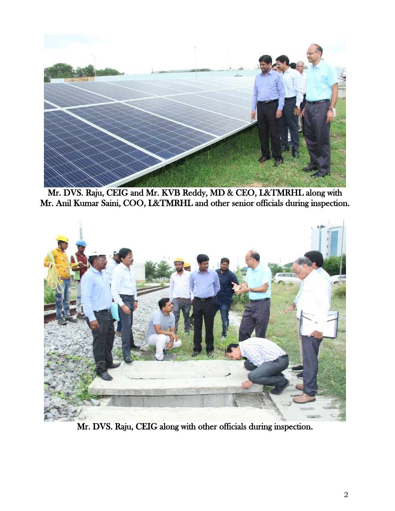

Mr. DVS. Raju, CEIG and Mr. KVB Reddy, MD & CEO, L&TMRHL along with Mr. Anil Kumar Saini, COO, L&TMRHL and other senior officials during inspection.



Mr. DVS. Raju, CEIG along with other officials during inspection.